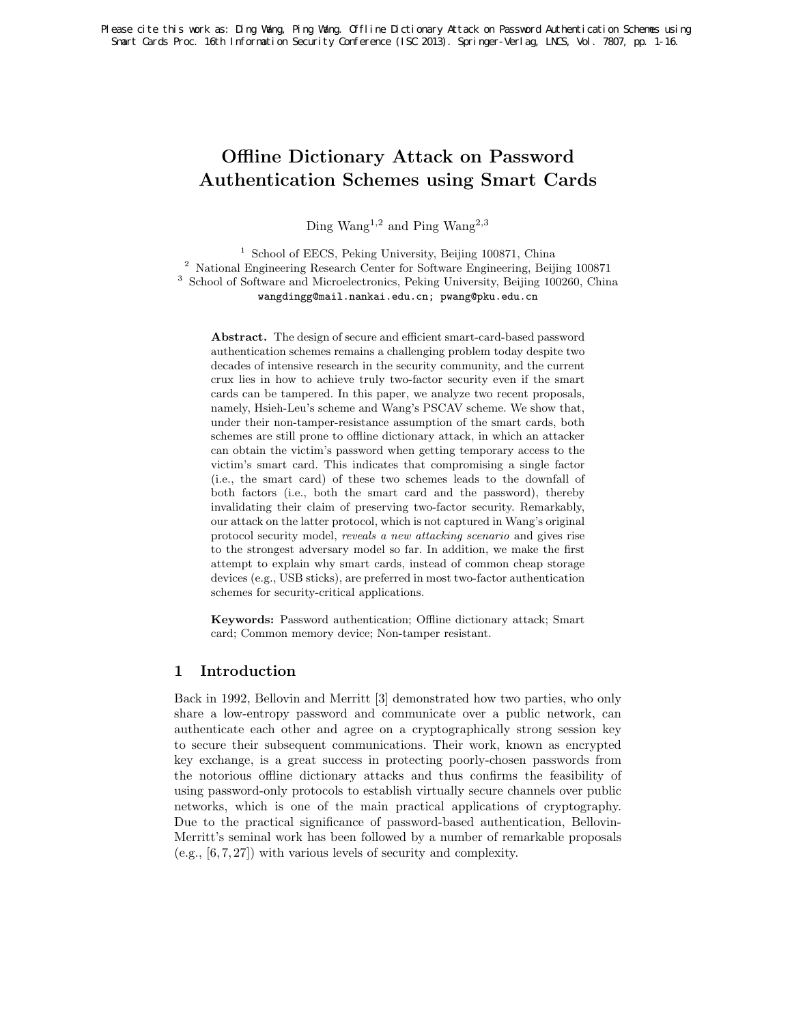# **Offline Dictionary Attack on Password Authentication Schemes using Smart Cards**

Ding Wang<sup>1</sup>*,*<sup>2</sup> and Ping Wang<sup>2</sup>*,*<sup>3</sup>

<sup>1</sup> School of EECS, Peking University, Beijing 100871, China <sup>2</sup> National Engineering Research Center for Software Engineering, Beijing 100871 <sup>3</sup> School of Software and Microelectronics, Peking University, Beijing 100260, China wangdingg@mail.nankai.edu.cn; pwang@pku.edu.cn

**Abstract.** The design of secure and efficient smart-card-based password authentication schemes remains a challenging problem today despite two decades of intensive research in the security community, and the current crux lies in how to achieve truly two-factor security even if the smart cards can be tampered. In this paper, we analyze two recent proposals, namely, Hsieh-Leu's scheme and Wang's PSCAV scheme. We show that, under their non-tamper-resistance assumption of the smart cards, both schemes are still prone to offline dictionary attack, in which an attacker can obtain the victim's password when getting temporary access to the victim's smart card. This indicates that compromising a single factor (i.e., the smart card) of these two schemes leads to the downfall of both factors (i.e., both the smart card and the password), thereby invalidating their claim of preserving two-factor security. Remarkably, our attack on the latter protocol, which is not captured in Wang's original protocol security model, *reveals a new attacking scenario* and gives rise to the strongest adversary model so far. In addition, we make the first attempt to explain why smart cards, instead of common cheap storage devices (e.g., USB sticks), are preferred in most two-factor authentication schemes for security-critical applications.

**Keywords:** Password authentication; Offline dictionary attack; Smart card; Common memory device; Non-tamper resistant.

# <span id="page-0-0"></span>**1 Introduction**

Back in 1992, Bellovin and Merritt [[3\]](#page-13-0) demonstrated how two parties, who only share a low-entropy password and communicate over a public network, can authenticate each other and agree on a cryptographically strong session key to secure their subsequent communications. Their work, known as encrypted key exchange, is a great success in protecting poorly-chosen passwords from the notorious offline dictionary attacks and thus confirms the feasibility of using password-only protocols to establish virtually secure channels over public networks, which is one of the main practical applications of cryptography. Due to the practical significance of password-based authentication, Bellovin-Merritt's seminal work has been followed by a number of remarkable proposals  $(e.g., [6, 7, 27])$  $(e.g., [6, 7, 27])$  $(e.g., [6, 7, 27])$  $(e.g., [6, 7, 27])$  $(e.g., [6, 7, 27])$  $(e.g., [6, 7, 27])$  $(e.g., [6, 7, 27])$  with various levels of security and complexity.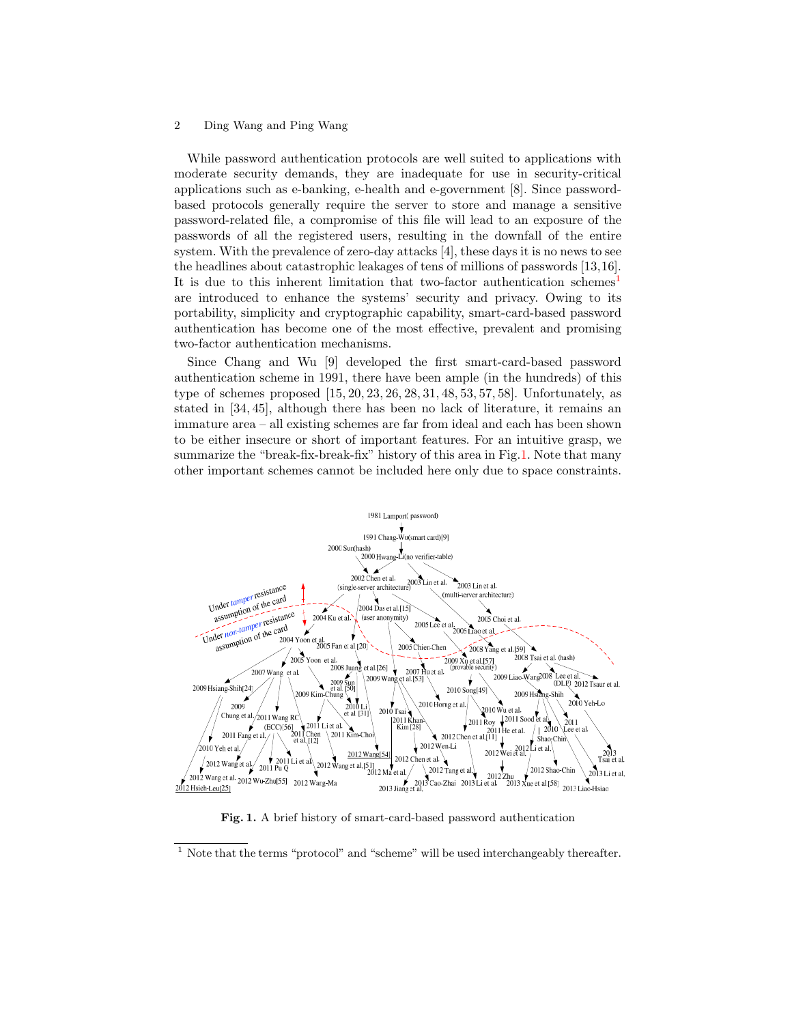While password authentication protocols are well suited to applications with moderate security demands, they are inadequate for use in security-critical applications such as e-banking, e-health and e-government [[8](#page-13-3)]. Since passwordbased protocols generally require the server to store and manage a sensitive password-related file, a compromise of this file will lead to an exposure of the passwords of all the registered users, resulting in the downfall of the entire system. With the prevalence of zero-day attacks [\[4](#page-13-4)], these days it is no news to see the headlines about catastrophic leakages of tens of millions of passwords [[13,](#page-13-5)[16](#page-13-6)]. It is due to this inherent limitation that two-factor authentication schemes<sup>[1](#page-1-0)</sup> are introduced to enhance the systems' security and privacy. Owing to its portability, simplicity and cryptographic capability, smart-card-based password authentication has become one of the most effective, prevalent and promising two-factor authentication mechanisms.

Since Chang and Wu [[9\]](#page-13-7) developed the first smart-card-based password authentication scheme in 1991, there have been ample (in the hundreds) of this type of schemes proposed [[15,](#page-13-8) [20](#page-13-9), [23,](#page-14-1) [26](#page-14-2), [28,](#page-14-3) [31](#page-14-4), [48](#page-15-0), [53,](#page-15-1) [57](#page-15-2), [58\]](#page-15-3). Unfortunately, as stated in [[34,](#page-14-5) [45](#page-15-4)], although there has been no lack of literature, it remains an immature area – all existing schemes are far from ideal and each has been shown to be either insecure or short of important features. For an intuitive grasp, we summarize the "break-fix-break-fix" history of this area in Fig.[1.](#page-0-0) Note that many other important schemes cannot be included here only due to space constraints.



**Fig. 1.** A brief history of smart-card-based password authentication

<span id="page-1-0"></span> $^{\rm 1}$  Note that the terms "protocol" and "scheme" will be used interchangeably thereafter.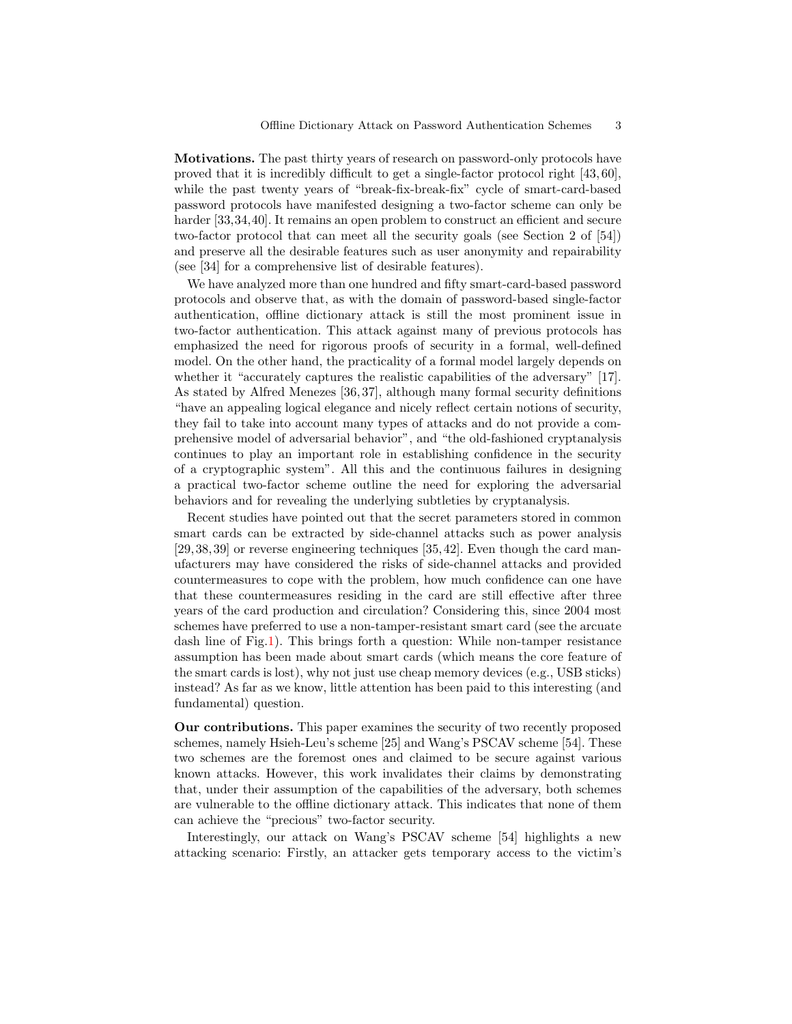**Motivations.** The past thirty years of research on password-only protocols have proved that it is incredibly difficult to get a single-factor protocol right [[43](#page-15-5), [60](#page-15-6)], while the past twenty years of "break-fix-break-fix" cycle of smart-card-based password protocols have manifested designing a two-factor scheme can only be harder [\[33](#page-14-6),[34](#page-14-5),[40\]](#page-14-7). It remains an open problem to construct an efficient and secure two-factor protocol that can meet all the security goals (see Section 2 of [[54\]](#page-15-7)) and preserve all the desirable features such as user anonymity and repairability (see [[34](#page-14-5)] for a comprehensive list of desirable features).

We have analyzed more than one hundred and fifty smart-card-based password protocols and observe that, as with the domain of password-based single-factor authentication, offline dictionary attack is still the most prominent issue in two-factor authentication. This attack against many of previous protocols has emphasized the need for rigorous proofs of security in a formal, well-defined model. On the other hand, the practicality of a formal model largely depends on whether it "accurately captures the realistic capabilities of the adversary" [[17](#page-13-10)]. As stated by Alfred Menezes [[36,](#page-14-8) [37\]](#page-14-9), although many formal security definitions "have an appealing logical elegance and nicely reflect certain notions of security, they fail to take into account many types of attacks and do not provide a comprehensive model of adversarial behavior", and "the old-fashioned cryptanalysis continues to play an important role in establishing confidence in the security of a cryptographic system". All this and the continuous failures in designing a practical two-factor scheme outline the need for exploring the adversarial behaviors and for revealing the underlying subtleties by cryptanalysis.

Recent studies have pointed out that the secret parameters stored in common smart cards can be extracted by side-channel attacks such as power analysis [[29](#page-14-10),[38](#page-14-11),[39](#page-14-12)] or reverse engineering techniques [\[35](#page-14-13),[42\]](#page-14-14). Even though the card manufacturers may have considered the risks of side-channel attacks and provided countermeasures to cope with the problem, how much confidence can one have that these countermeasures residing in the card are still effective after three years of the card production and circulation? Considering this, since 2004 most schemes have preferred to use a non-tamper-resistant smart card (see the arcuate dash line of Fig[.1](#page-0-0)). This brings forth a question: While non-tamper resistance assumption has been made about smart cards (which means the core feature of the smart cards is lost), why not just use cheap memory devices (e.g., USB sticks) instead? As far as we know, little attention has been paid to this interesting (and fundamental) question.

**Our contributions.** This paper examines the security of two recently proposed schemes, namely Hsieh-Leu's scheme [\[25](#page-14-15)] and Wang's PSCAV scheme [[54](#page-15-7)]. These two schemes are the foremost ones and claimed to be secure against various known attacks. However, this work invalidates their claims by demonstrating that, under their assumption of the capabilities of the adversary, both schemes are vulnerable to the offline dictionary attack. This indicates that none of them can achieve the "precious" two-factor security.

Interestingly, our attack on Wang's PSCAV scheme [[54\]](#page-15-7) highlights a new attacking scenario: Firstly, an attacker gets temporary access to the victim's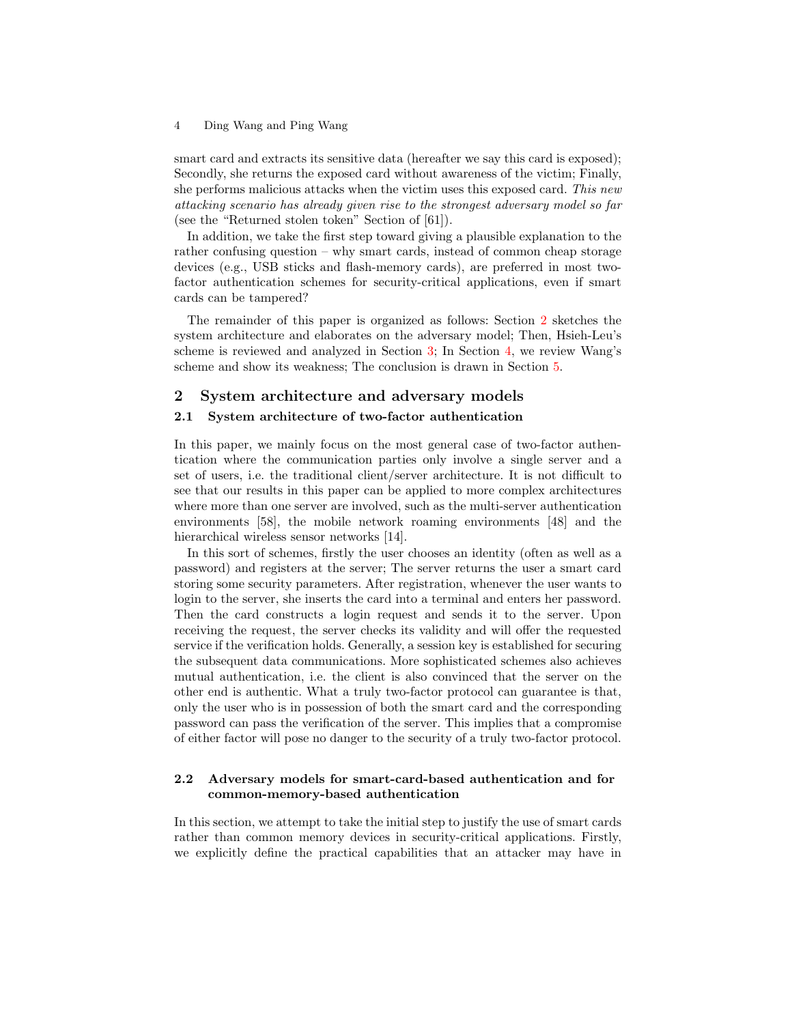smart card and extracts its sensitive data (hereafter we say this card is exposed); Secondly, she returns the exposed card without awareness of the victim; Finally, she performs malicious attacks when the victim uses this exposed card. *This new attacking scenario has already given rise to the strongest adversary model so far* (see the "Returned stolen token" Section of [[61\]](#page-15-8)).

In addition, we take the first step toward giving a plausible explanation to the rather confusing question – why smart cards, instead of common cheap storage devices (e.g., USB sticks and flash-memory cards), are preferred in most twofactor authentication schemes for security-critical applications, even if smart cards can be tampered?

The remainder of this paper is organized as follows: Section [2](#page-3-0) sketches the system architecture and elaborates on the adversary model; Then, Hsieh-Leu's scheme is reviewed and analyzed in Section [3](#page-6-0); In Section [4](#page-9-0), we review Wang's scheme and show its weakness; The conclusion is drawn in Section [5.](#page-12-0)

# <span id="page-3-0"></span>**2 System architecture and adversary models**

## **2.1 System architecture of two-factor authentication**

In this paper, we mainly focus on the most general case of two-factor authentication where the communication parties only involve a single server and a set of users, i.e. the traditional client/server architecture. It is not difficult to see that our results in this paper can be applied to more complex architectures where more than one server are involved, such as the multi-server authentication environments [\[58](#page-15-3)], the mobile network roaming environments [[48](#page-15-0)] and the hierarchical wireless sensor networks [[14\]](#page-13-11).

In this sort of schemes, firstly the user chooses an identity (often as well as a password) and registers at the server; The server returns the user a smart card storing some security parameters. After registration, whenever the user wants to login to the server, she inserts the card into a terminal and enters her password. Then the card constructs a login request and sends it to the server. Upon receiving the request, the server checks its validity and will offer the requested service if the verification holds. Generally, a session key is established for securing the subsequent data communications. More sophisticated schemes also achieves mutual authentication, i.e. the client is also convinced that the server on the other end is authentic. What a truly two-factor protocol can guarantee is that, only the user who is in possession of both the smart card and the corresponding password can pass the verification of the server. This implies that a compromise of either factor will pose no danger to the security of a truly two-factor protocol.

# <span id="page-3-1"></span>**2.2 Adversary models for smart-card-based authentication and for common-memory-based authentication**

In this section, we attempt to take the initial step to justify the use of smart cards rather than common memory devices in security-critical applications. Firstly, we explicitly define the practical capabilities that an attacker may have in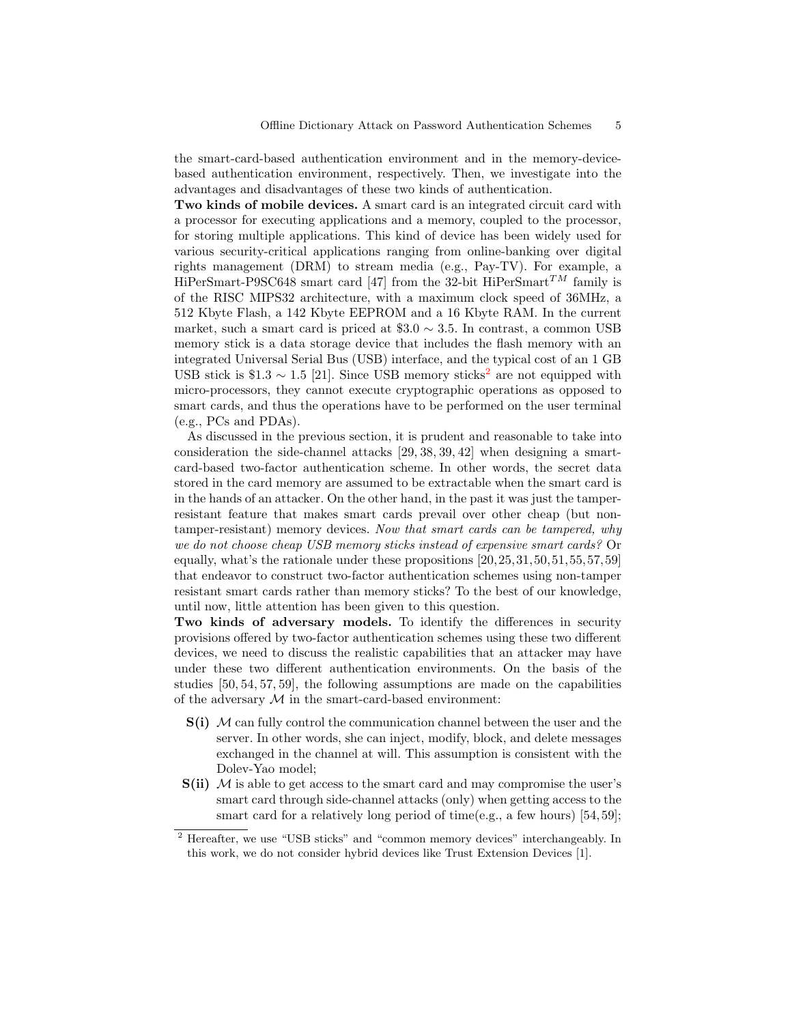the smart-card-based authentication environment and in the memory-devicebased authentication environment, respectively. Then, we investigate into the advantages and disadvantages of these two kinds of authentication.

**Two kinds of mobile devices.** A smart card is an integrated circuit card with a processor for executing applications and a memory, coupled to the processor, for storing multiple applications. This kind of device has been widely used for various security-critical applications ranging from online-banking over digital rights management (DRM) to stream media (e.g., Pay-TV). For example, a HiPerSmart-P9SC648 smart card [[47\]](#page-15-9) from the 32-bit HiPerSmart*TM* family is of the RISC MIPS32 architecture, with a maximum clock speed of 36MHz, a 512 Kbyte Flash, a 142 Kbyte EEPROM and a 16 Kbyte RAM. In the current market, such a smart card is priced at \$3*.*0 *∼* 3*.*5. In contrast, a common USB memory stick is a data storage device that includes the flash memory with an integrated Universal Serial Bus (USB) interface, and the typical cost of an 1 GB USB stick is \$1.3  $\sim$  1.5 [\[21](#page-13-12)]. Since USB memory sticks<sup>[2](#page-4-0)</sup> are not equipped with micro-processors, they cannot execute cryptographic operations as opposed to smart cards, and thus the operations have to be performed on the user terminal (e.g., PCs and PDAs).

As discussed in the previous section, it is prudent and reasonable to take into consideration the side-channel attacks [\[29](#page-14-10), [38,](#page-14-11) [39](#page-14-12), [42](#page-14-14)] when designing a smartcard-based two-factor authentication scheme. In other words, the secret data stored in the card memory are assumed to be extractable when the smart card is in the hands of an attacker. On the other hand, in the past it was just the tamperresistant feature that makes smart cards prevail over other cheap (but nontamper-resistant) memory devices. *Now that smart cards can be tampered, why we do not choose cheap USB memory sticks instead of expensive smart cards?* Or equally, what's the rationale under these propositions [[20,](#page-13-9)[25](#page-14-15),[31](#page-14-4),[50,](#page-15-10)[51,](#page-15-11)[55](#page-15-12),[57](#page-15-2),[59\]](#page-15-13) that endeavor to construct two-factor authentication schemes using non-tamper resistant smart cards rather than memory sticks? To the best of our knowledge, until now, little attention has been given to this question.

**Two kinds of adversary models.** To identify the differences in security provisions offered by two-factor authentication schemes using these two different devices, we need to discuss the realistic capabilities that an attacker may have under these two different authentication environments. On the basis of the studies [[50,](#page-15-10) [54](#page-15-7), [57,](#page-15-2) [59](#page-15-13)], the following assumptions are made on the capabilities of the adversary  $M$  in the smart-card-based environment:

- **S(i)** *M* can fully control the communication channel between the user and the server. In other words, she can inject, modify, block, and delete messages exchanged in the channel at will. This assumption is consistent with the Dolev-Yao model;
- **S(ii)** *M* is able to get access to the smart card and may compromise the user's smart card through side-channel attacks (only) when getting access to the smart card for a relatively long period of time(e.g., a few hours)  $[54,59]$  $[54,59]$  $[54,59]$  $[54,59]$  $[54,59]$ ;

<span id="page-4-0"></span> $2$  Hereafter, we use "USB sticks" and "common memory devices" interchangeably. In this work, we do not consider hybrid devices like Trust Extension Devices [[1\]](#page-12-1).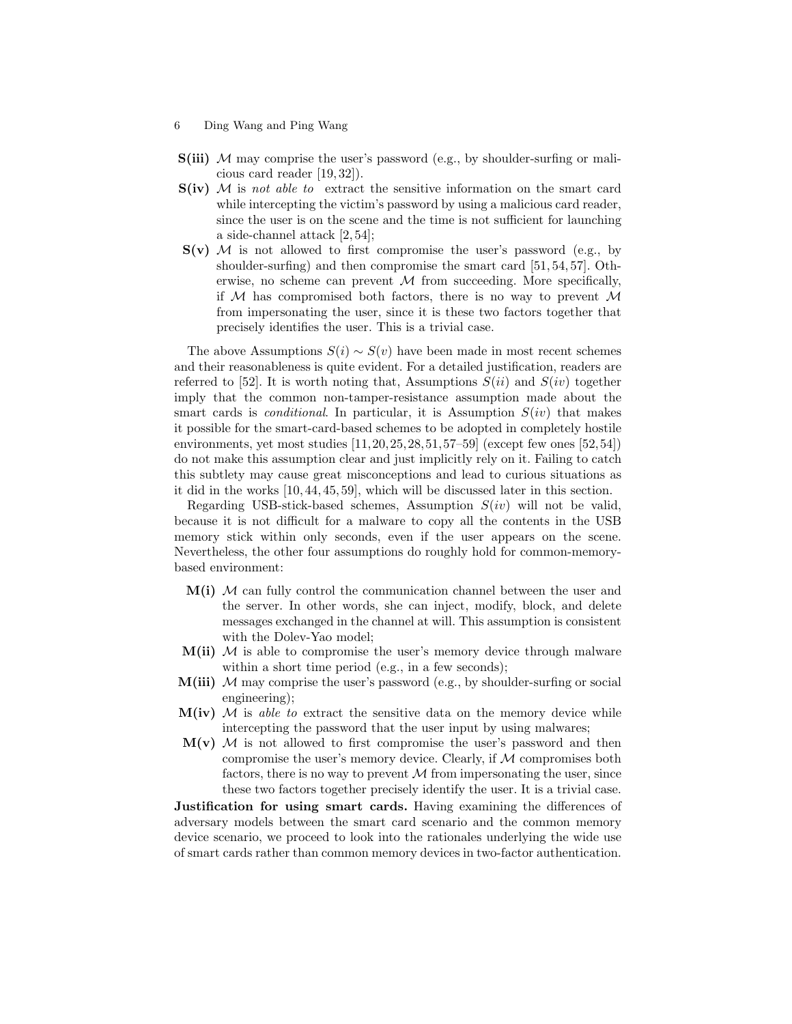- 6 Ding Wang and Ping Wang
- **S(iii)** *M* may comprise the user's password (e.g., by shoulder-surfing or malicious card reader [[19,](#page-13-13) [32\]](#page-14-16)).
- **S(iv)** *M* is *not able to* extract the sensitive information on the smart card while intercepting the victim's password by using a malicious card reader, since the user is on the scene and the time is not sufficient for launching a side-channel attack [\[2](#page-12-2), [54](#page-15-7)];
- $S(v)$  *M* is not allowed to first compromise the user's password (e.g., by shoulder-surfing) and then compromise the smart card [[51,](#page-15-11) [54,](#page-15-7) [57](#page-15-2)]. Otherwise, no scheme can prevent  $M$  from succeeding. More specifically, if *M* has compromised both factors, there is no way to prevent *M* from impersonating the user, since it is these two factors together that precisely identifies the user. This is a trivial case.

The above Assumptions  $S(i) \sim S(v)$  have been made in most recent schemes and their reasonableness is quite evident. For a detailed justification, readers are referred to [\[52](#page-15-14)]. It is worth noting that, Assumptions  $S(ii)$  and  $S(iv)$  together imply that the common non-tamper-resistance assumption made about the smart cards is *conditional*. In particular, it is Assumption  $S(iv)$  that makes it possible for the smart-card-based schemes to be adopted in completely hostile environments, yet most studies  $[11, 20, 25, 28, 51, 57-59]$  $[11, 20, 25, 28, 51, 57-59]$  $[11, 20, 25, 28, 51, 57-59]$  $[11, 20, 25, 28, 51, 57-59]$  $[11, 20, 25, 28, 51, 57-59]$  $[11, 20, 25, 28, 51, 57-59]$  $[11, 20, 25, 28, 51, 57-59]$  $[11, 20, 25, 28, 51, 57-59]$  $[11, 20, 25, 28, 51, 57-59]$  $[11, 20, 25, 28, 51, 57-59]$  $[11, 20, 25, 28, 51, 57-59]$  (except few ones  $[52, 54]$  $[52, 54]$  $[52, 54]$ ) do not make this assumption clear and just implicitly rely on it. Failing to catch this subtlety may cause great misconceptions and lead to curious situations as it did in the works [[10,](#page-13-15) [44,](#page-15-15) [45,](#page-15-4) [59\]](#page-15-13), which will be discussed later in this section.

Regarding USB-stick-based schemes, Assumption *S*(*iv*) will not be valid, because it is not difficult for a malware to copy all the contents in the USB memory stick within only seconds, even if the user appears on the scene. Nevertheless, the other four assumptions do roughly hold for common-memorybased environment:

- **M(i)** *M* can fully control the communication channel between the user and the server. In other words, she can inject, modify, block, and delete messages exchanged in the channel at will. This assumption is consistent with the Dolev-Yao model;
- $M(i)$  *M* is able to compromise the user's memory device through malware within a short time period (e.g., in a few seconds);
- **M(iii)** *M* may comprise the user's password (e.g., by shoulder-surfing or social engineering);
- **M(iv)** *M* is *able to* extract the sensitive data on the memory device while intercepting the password that the user input by using malwares;
- $M(v)$  *M* is not allowed to first compromise the user's password and then compromise the user's memory device. Clearly, if *M* compromises both factors, there is no way to prevent  $M$  from impersonating the user, since these two factors together precisely identify the user. It is a trivial case.

**Justification for using smart cards.** Having examining the differences of adversary models between the smart card scenario and the common memory device scenario, we proceed to look into the rationales underlying the wide use of smart cards rather than common memory devices in two-factor authentication.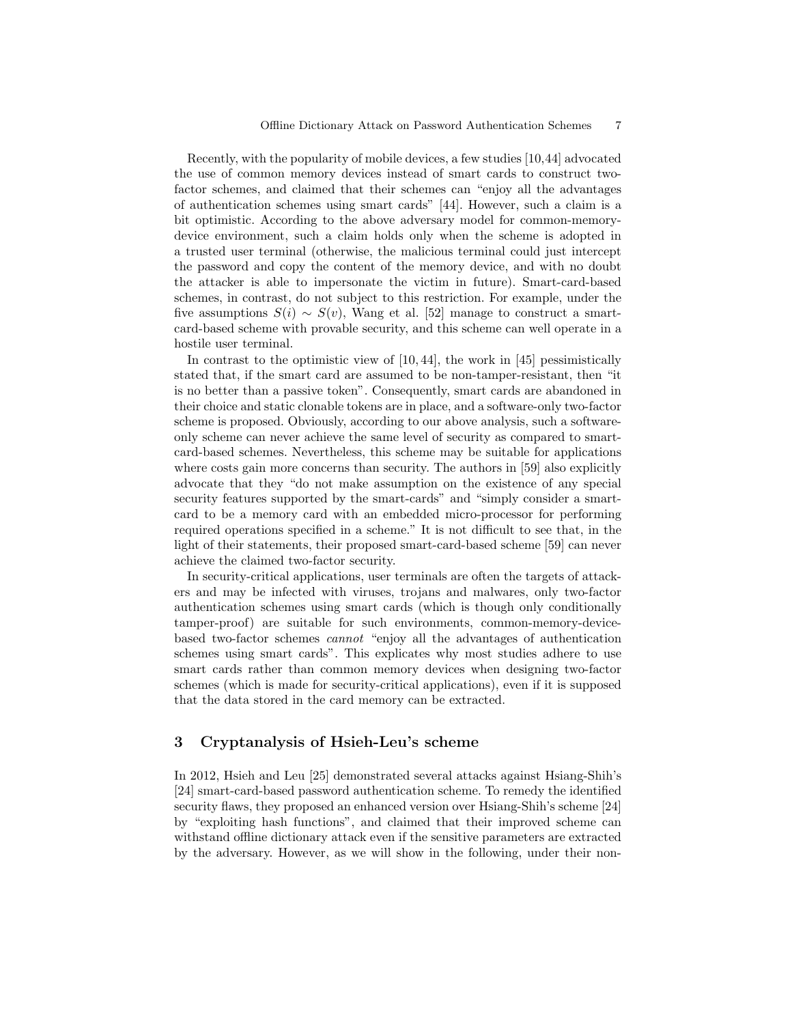Recently, with the popularity of mobile devices, a few studies [\[10](#page-13-15),[44\]](#page-15-15) advocated the use of common memory devices instead of smart cards to construct twofactor schemes, and claimed that their schemes can "enjoy all the advantages of authentication schemes using smart cards" [[44](#page-15-15)]. However, such a claim is a bit optimistic. According to the above adversary model for common-memorydevice environment, such a claim holds only when the scheme is adopted in a trusted user terminal (otherwise, the malicious terminal could just intercept the password and copy the content of the memory device, and with no doubt the attacker is able to impersonate the victim in future). Smart-card-based schemes, in contrast, do not subject to this restriction. For example, under the five assumptions  $S(i) \sim S(v)$ , Wang et al. [\[52](#page-15-14)] manage to construct a smartcard-based scheme with provable security, and this scheme can well operate in a hostile user terminal.

In contrast to the optimistic view of [[10](#page-13-15), [44](#page-15-15)], the work in [\[45](#page-15-4)] pessimistically stated that, if the smart card are assumed to be non-tamper-resistant, then "it is no better than a passive token". Consequently, smart cards are abandoned in their choice and static clonable tokens are in place, and a software-only two-factor scheme is proposed. Obviously, according to our above analysis, such a softwareonly scheme can never achieve the same level of security as compared to smartcard-based schemes. Nevertheless, this scheme may be suitable for applications where costs gain more concerns than security. The authors in [\[59](#page-15-13)] also explicitly advocate that they "do not make assumption on the existence of any special security features supported by the smart-cards" and "simply consider a smartcard to be a memory card with an embedded micro-processor for performing required operations specified in a scheme." It is not difficult to see that, in the light of their statements, their proposed smart-card-based scheme [[59\]](#page-15-13) can never achieve the claimed two-factor security.

In security-critical applications, user terminals are often the targets of attackers and may be infected with viruses, trojans and malwares, only two-factor authentication schemes using smart cards (which is though only conditionally tamper-proof) are suitable for such environments, common-memory-devicebased two-factor schemes *cannot* "enjoy all the advantages of authentication schemes using smart cards". This explicates why most studies adhere to use smart cards rather than common memory devices when designing two-factor schemes (which is made for security-critical applications), even if it is supposed that the data stored in the card memory can be extracted.

## <span id="page-6-0"></span>**3 Cryptanalysis of Hsieh-Leu's scheme**

In 2012, Hsieh and Leu [[25\]](#page-14-15) demonstrated several attacks against Hsiang-Shih's [[24](#page-14-17)] smart-card-based password authentication scheme. To remedy the identified security flaws, they proposed an enhanced version over Hsiang-Shih's scheme [[24\]](#page-14-17) by "exploiting hash functions", and claimed that their improved scheme can withstand offline dictionary attack even if the sensitive parameters are extracted by the adversary. However, as we will show in the following, under their non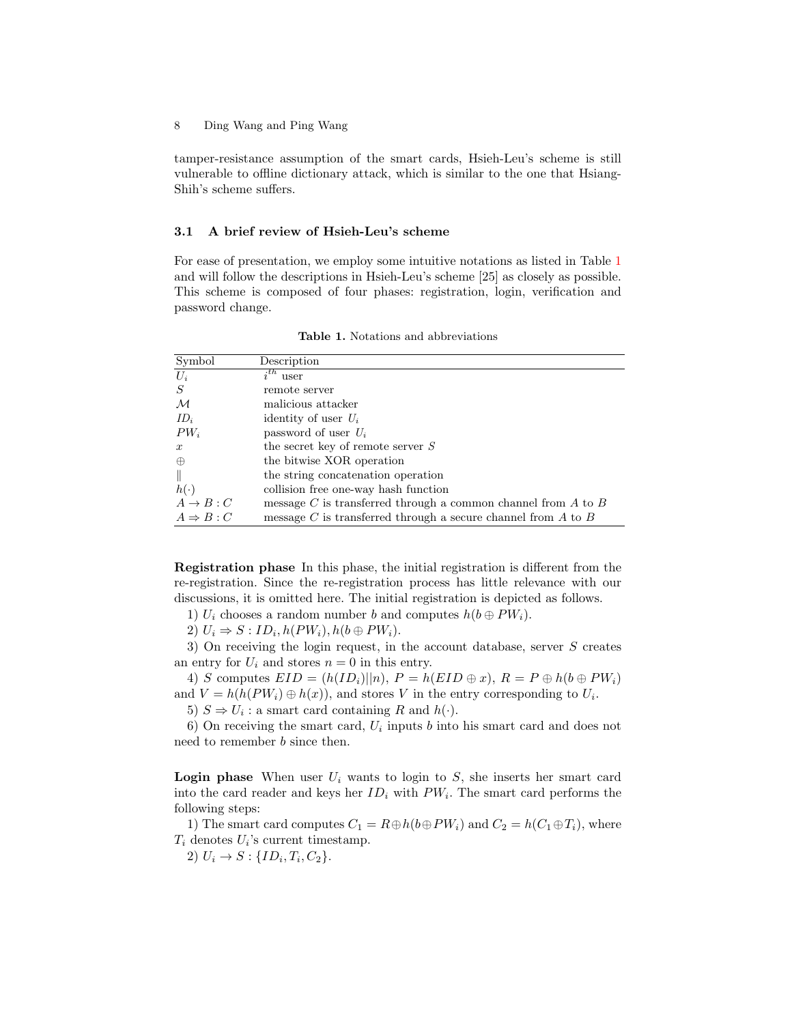tamper-resistance assumption of the smart cards, Hsieh-Leu's scheme is still vulnerable to offline dictionary attack, which is similar to the one that Hsiang-Shih's scheme suffers.

#### **3.1 A brief review of Hsieh-Leu's scheme**

For ease of presentation, we employ some intuitive notations as listed in Table [1](#page-7-0) and will follow the descriptions in Hsieh-Leu's scheme [[25\]](#page-14-15) as closely as possible. This scheme is composed of four phases: registration, login, verification and password change.

| Symbol                | Description                                                         |
|-----------------------|---------------------------------------------------------------------|
| $U_i$                 | $\overline{i^{th}}$ user                                            |
| $\overline{S}$        | remote server                                                       |
| $\mathcal M$          | malicious attacker                                                  |
| $ID_i$                | identity of user $U_i$                                              |
| $PW_i$                | password of user $U_i$                                              |
| $\boldsymbol{x}$      | the secret key of remote server $S$                                 |
| ⊕                     | the bitwise XOR operation                                           |
|                       | the string concatenation operation                                  |
| $h(\cdot)$            | collision free one-way hash function                                |
| $A \rightarrow B : C$ | message $C$ is transferred through a common channel from $A$ to $B$ |
| $A \Rightarrow B : C$ | message C is transferred through a secure channel from A to B       |

<span id="page-7-0"></span>**Table 1.** Notations and abbreviations

**Registration phase** In this phase, the initial registration is different from the re-registration. Since the re-registration process has little relevance with our discussions, it is omitted here. The initial registration is depicted as follows.

1)  $U_i$  chooses a random number *b* and computes  $h(b \oplus PW_i)$ .

2)  $U_i \Rightarrow S: ID_i, h(PW_i), h(b \oplus PW_i).$ 

3) On receiving the login request, in the account database, server *S* creates an entry for  $U_i$  and stores  $n = 0$  in this entry.

4) *S* computes  $EID = (h(ID_i)||n)$ ,  $P = h(EID \oplus x)$ ,  $R = P \oplus h(b \oplus PW_i)$ and  $V = h(h(PW_i) \oplus h(x))$ , and stores *V* in the entry corresponding to  $U_i$ .

5)  $S \Rightarrow U_i$ : a smart card containing R and  $h(\cdot)$ .

6) On receiving the smart card, *U<sup>i</sup>* inputs *b* into his smart card and does not need to remember *b* since then.

**Login phase** When user  $U_i$  wants to login to  $S$ , she inserts her smart card into the card reader and keys her *ID<sup>i</sup>* with *PW<sup>i</sup>* . The smart card performs the following steps:

1) The smart card computes  $C_1 = R \oplus h(b \oplus PW_i)$  and  $C_2 = h(C_1 \oplus T_i)$ , where  $T_i$  denotes  $U_i$ 's current timestamp.

 $2) U_i \rightarrow S : \{ID_i, T_i, C_2\}.$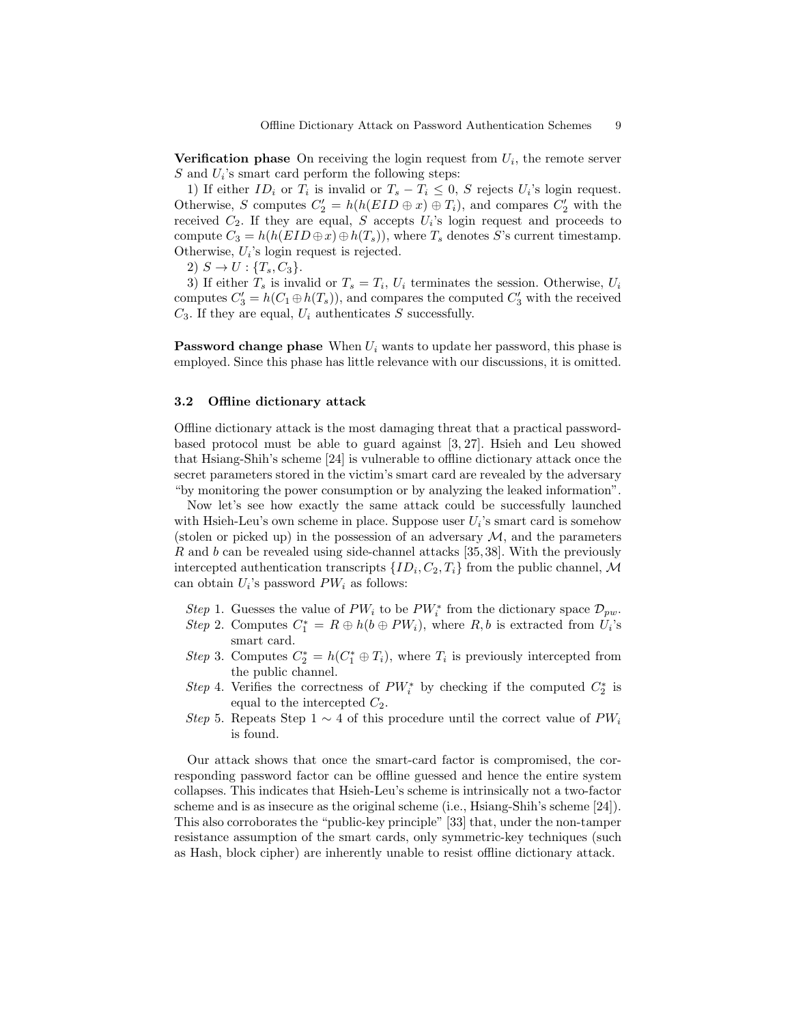**Verification phase** On receiving the login request from  $U_i$ , the remote server *S* and *U<sup>i</sup>* 's smart card perform the following steps:

1) If either  $ID_i$  or  $T_i$  is invalid or  $T_s - T_i \leq 0$ , *S* rejects  $U_i$ 's login request. Otherwise, *S* computes  $C'_2 = h(h(EID \oplus x) \oplus T_i)$ , and compares  $C'_2$  with the received  $C_2$ . If they are equal,  $S$  accepts  $U_i$ 's login request and proceeds to compute  $C_3 = h(h(EID \oplus x) \oplus h(T_s))$ , where  $T_s$  denotes *S*'s current timestamp. Otherwise, *U<sup>i</sup>* 's login request is rejected.

 $2)$   $S \to U$  :  $\{T_s, C_3\}.$ 

3) If either  $T_s$  is invalid or  $T_s = T_i$ ,  $U_i$  terminates the session. Otherwise,  $U_i$ computes  $C'_3 = h(C_1 \oplus h(T_s))$ , and compares the computed  $C'_3$  with the received *C*3. If they are equal, *U<sup>i</sup>* authenticates *S* successfully.

**Password change phase** When  $U_i$  wants to update her password, this phase is employed. Since this phase has little relevance with our discussions, it is omitted.

#### **3.2 Offline dictionary attack**

Offline dictionary attack is the most damaging threat that a practical passwordbased protocol must be able to guard against [[3](#page-13-0), [27\]](#page-14-0). Hsieh and Leu showed that Hsiang-Shih's scheme [\[24](#page-14-17)] is vulnerable to offline dictionary attack once the secret parameters stored in the victim's smart card are revealed by the adversary "by monitoring the power consumption or by analyzing the leaked information".

Now let's see how exactly the same attack could be successfully launched with Hsieh-Leu's own scheme in place. Suppose user  $U_i$ 's smart card is somehow (stolen or picked up) in the possession of an adversary  $M$ , and the parameters *R* and *b* can be revealed using side-channel attacks [[35](#page-14-13),[38](#page-14-11)]. With the previously intercepted authentication transcripts  $\{ID_i, C_2, T_i\}$  from the public channel,  $M$ can obtain  $U_i$ 's password  $PW_i$  as follows:

- *Step* 1. Guesses the value of  $PW_i$  to be  $PW_i^*$  from the dictionary space  $\mathcal{D}_{pw}$ .
- *Step* 2. Computes  $C_1^* = R \oplus h(b \oplus PW_i)$ , where  $R, b$  is extracted from  $U_i$ 's smart card.
- *Step* 3. Computes  $C_2^* = h(C_1^* \oplus T_i)$ , where  $T_i$  is previously intercepted from the public channel.
- *Step* 4. Verifies the correctness of  $PW_i^*$  by checking if the computed  $C_2^*$  is equal to the intercepted  $C_2$ .
- *Step* 5. Repeats Step 1  $\sim$  4 of this procedure until the correct value of  $PW_i$ is found.

Our attack shows that once the smart-card factor is compromised, the corresponding password factor can be offline guessed and hence the entire system collapses. This indicates that Hsieh-Leu's scheme is intrinsically not a two-factor scheme and is as insecure as the original scheme (i.e., Hsiang-Shih's scheme [[24](#page-14-17)]). This also corroborates the "public-key principle" [[33\]](#page-14-6) that, under the non-tamper resistance assumption of the smart cards, only symmetric-key techniques (such as Hash, block cipher) are inherently unable to resist offline dictionary attack.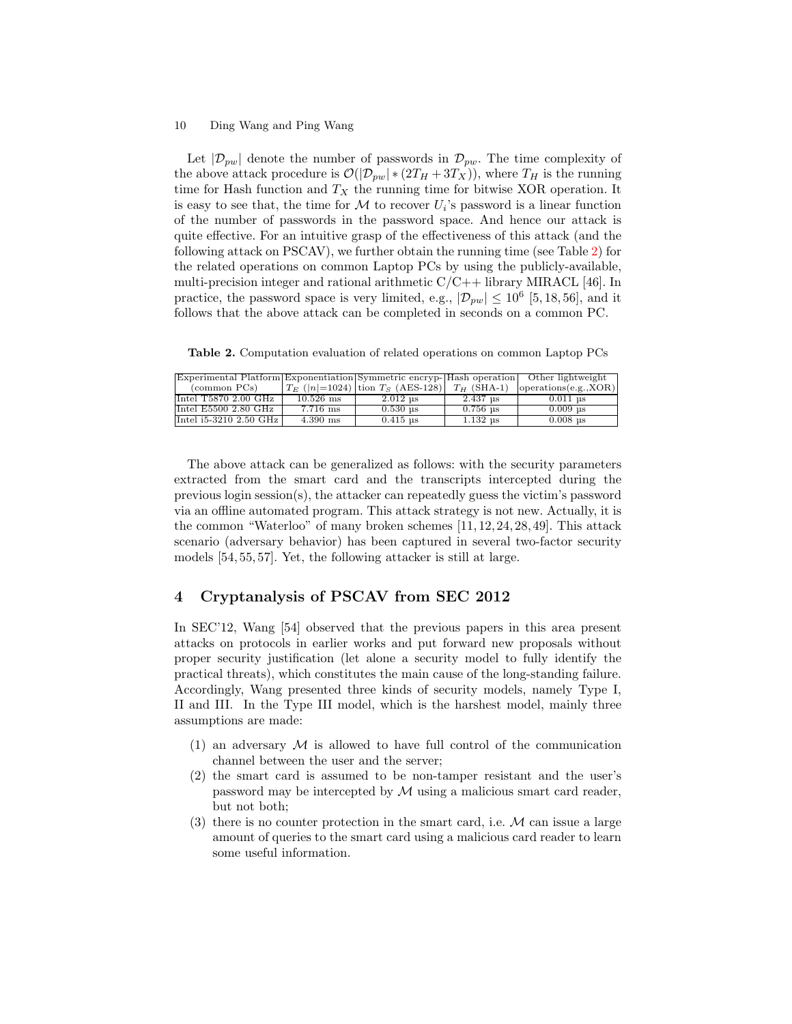Let  $|\mathcal{D}_{pw}|$  denote the number of passwords in  $\mathcal{D}_{pw}$ . The time complexity of the above attack procedure is  $\mathcal{O}(|\mathcal{D}_{pw}| * (2T_H + 3T_X))$ , where  $T_H$  is the running time for Hash function and  $T_X$  the running time for bitwise XOR operation. It is easy to see that, the time for  $M$  to recover  $U_i$ 's password is a linear function of the number of passwords in the password space. And hence our attack is quite effective. For an intuitive grasp of the effectiveness of this attack (and the following attack on PSCAV), we further obtain the running time (see Table [2](#page-9-1)) for the related operations on common Laptop PCs by using the publicly-available, multi-precision integer and rational arithmetic  $C/C++$  library MIRACL [[46](#page-15-16)]. In practice, the password space is very limited, e.g.,  $|\mathcal{D}_{pw}| \leq 10^6$  [[5,](#page-13-16) [18](#page-13-17), [56](#page-15-17)], and it follows that the above attack can be completed in seconds on a common PC.

<span id="page-9-1"></span>**Table 2.** Computation evaluation of related operations on common Laptop PCs

| Experimental Platform Exponentiation Symmetric encryp-Hash operation Other lightweight |             |                                       |               |                       |
|----------------------------------------------------------------------------------------|-------------|---------------------------------------|---------------|-----------------------|
| (common PCs)                                                                           |             | $T_E$ ( n =1024) tion $T_S$ (AES-128) | $T_H$ (SHA-1) | operations(e.g., XOR) |
| $[$ Intel T5870 2.00 GHz                                                               | $10.526$ ms | $2.012$ us                            | $2.437$ us    | $0.011$ us            |
| Intel E5500 2.80 GHz                                                                   | $7.716$ ms  | $0.530$ us                            | $0.756$ us    | $0.009$ us            |
| Intel i5-3210 2.50 GHz                                                                 | $4.390$ ms  | $0.415$ us                            | $1.132$ us    | $0.008$ us            |

The above attack can be generalized as follows: with the security parameters extracted from the smart card and the transcripts intercepted during the previous login session(s), the attacker can repeatedly guess the victim's password via an offline automated program. This attack strategy is not new. Actually, it is the common "Waterloo" of many broken schemes [[11](#page-13-14), [12](#page-13-18),[24](#page-14-17),[28](#page-14-3),[49\]](#page-15-18). This attack scenario (adversary behavior) has been captured in several two-factor security models [\[54](#page-15-7), [55](#page-15-12), [57](#page-15-2)]. Yet, the following attacker is still at large.

# <span id="page-9-0"></span>**4 Cryptanalysis of PSCAV from SEC 2012**

In SEC'12, Wang [[54\]](#page-15-7) observed that the previous papers in this area present attacks on protocols in earlier works and put forward new proposals without proper security justification (let alone a security model to fully identify the practical threats), which constitutes the main cause of the long-standing failure. Accordingly, Wang presented three kinds of security models, namely Type I, II and III. In the Type III model, which is the harshest model, mainly three assumptions are made:

- (1) an adversary  $M$  is allowed to have full control of the communication channel between the user and the server;
- (2) the smart card is assumed to be non-tamper resistant and the user's password may be intercepted by *M* using a malicious smart card reader, but not both;
- (3) there is no counter protection in the smart card, i.e. *M* can issue a large amount of queries to the smart card using a malicious card reader to learn some useful information.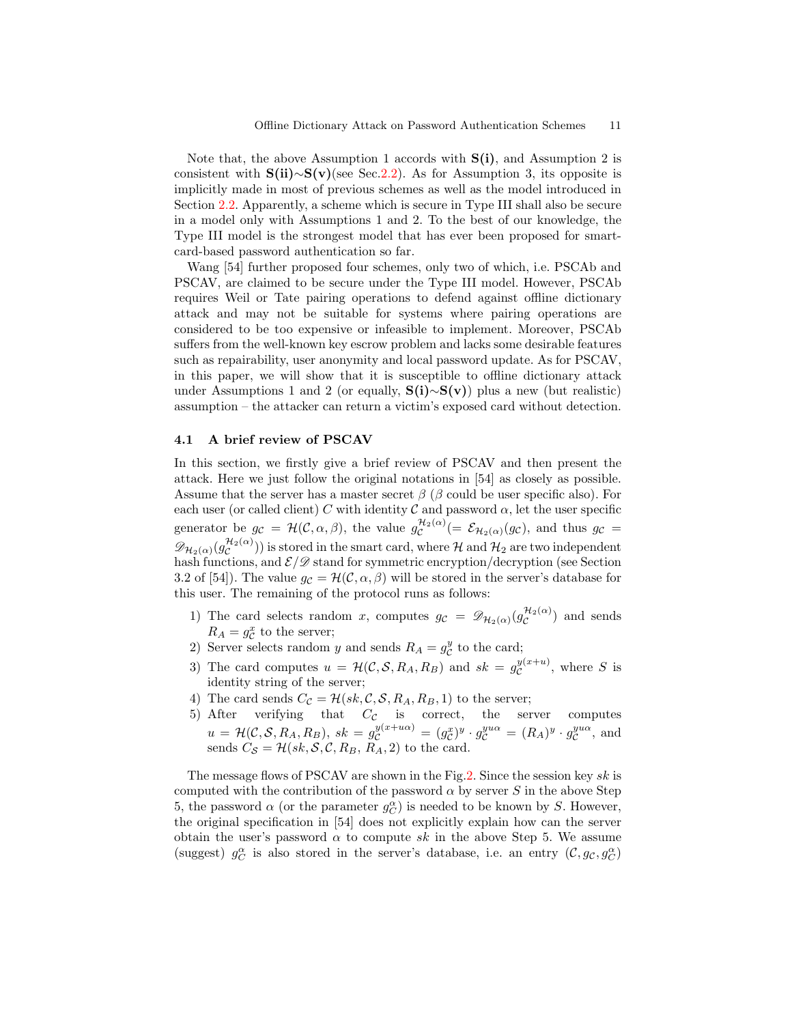Note that, the above Assumption 1 accords with **S(i)**, and Assumption 2 is consistent with **S(ii)***∼***S(v)**(see Sec.[2.2](#page-3-1)). As for Assumption 3, its opposite is implicitly made in most of previous schemes as well as the model introduced in Section [2.2.](#page-3-1) Apparently, a scheme which is secure in Type III shall also be secure in a model only with Assumptions 1 and 2. To the best of our knowledge, the Type III model is the strongest model that has ever been proposed for smartcard-based password authentication so far.

Wang [[54\]](#page-15-7) further proposed four schemes, only two of which, i.e. PSCAb and PSCAV, are claimed to be secure under the Type III model. However, PSCAb requires Weil or Tate pairing operations to defend against offline dictionary attack and may not be suitable for systems where pairing operations are considered to be too expensive or infeasible to implement. Moreover, PSCAb suffers from the well-known key escrow problem and lacks some desirable features such as repairability, user anonymity and local password update. As for PSCAV, in this paper, we will show that it is susceptible to offline dictionary attack under Assumptions 1 and 2 (or equally, **S(i)***∼***S(v)**) plus a new (but realistic) assumption – the attacker can return a victim's exposed card without detection.

## **4.1 A brief review of PSCAV**

In this section, we firstly give a brief review of PSCAV and then present the attack. Here we just follow the original notations in [[54\]](#page-15-7) as closely as possible. Assume that the server has a master secret  $\beta$  ( $\beta$  could be user specific also). For each user (or called client) *C* with identity  $\mathcal C$  and password  $\alpha$ , let the user specific generator be  $g_c = \mathcal{H}(\mathcal{C}, \alpha, \beta)$ , the value  $g_c^{\mathcal{H}_2(\alpha)} (= \mathcal{E}_{\mathcal{H}_2(\alpha)}(g_c)$ , and thus  $g_c =$  $\mathscr{D}_{\mathcal{H}_2(\alpha)}(g_{\mathcal{C}}^{\mathcal{H}_2(\alpha)}))$  is stored in the smart card, w  $\mathcal{L}^{(2)}$  ( $\alpha$ )) is stored in the smart card, where  $\mathcal{H}$  and  $\mathcal{H}_2$  are two independent hash functions, and  $\mathcal{E}/\mathcal{D}$  stand for symmetric encryption/decryption (see Section 3.2 of [\[54](#page-15-7)]). The value  $g_c = \mathcal{H}(\mathcal{C}, \alpha, \beta)$  will be stored in the server's database for this user. The remaining of the protocol runs as follows:

- 1) The card selects random *x*, computes  $g_c = \mathscr{D}_{\mathcal{H}_2(\alpha)}(g_c^{\mathcal{H}_2(\alpha)})$  $\mathcal{C}^{H_2(\alpha)}$  and sends  $R_A = g^x$  to the server;
- 2) Server selects random *y* and sends  $R_A = g_C^y$  to the card;
- 3) The card computes  $u = \mathcal{H}(\mathcal{C}, \mathcal{S}, R_A, R_B)$  and  $sk = g_{\mathcal{C}}^{y(x+u)}$  $\mathcal{C}^{y(x+u)}$ , where *S* is identity string of the server;
- 4) The card sends  $C_{\mathcal{C}} = \mathcal{H}(sk, \mathcal{C}, \mathcal{S}, R_A, R_B, 1)$  to the server;
- 5) After verifying that  $C_{\mathcal{C}}$  is correct, the server computes  $u = H(C, S, R_A, R_B), \, sk = g_C^{y(x+u\alpha)} = (g_C^x)$  $(g_{\mathcal{C}}^{y})^{y} \cdot g_{\mathcal{C}}^{yu\alpha} = (R_A)^{y} \cdot g_{\mathcal{C}}^{yu\alpha}$  $_{\mathcal{C}}^{yu\alpha}$ , and sends  $C_{\mathcal{S}} = \mathcal{H}(sk, \mathcal{S}, \mathcal{C}, R_B, R_A, 2)$  to the card.

The message flows of PSCAV are shown in the Fig.[2.](#page-11-0) Since the session key *sk* is computed with the contribution of the password  $\alpha$  by server *S* in the above Step 5, the password  $\alpha$  (or the parameter  $g_C^{\alpha}$ ) is needed to be known by *S*. However, the original specification in [[54\]](#page-15-7) does not explicitly explain how can the server obtain the user's password  $\alpha$  to compute *sk* in the above Step 5. We assume (suggest)  $g_C^{\alpha}$  is also stored in the server's database, i.e. an entry  $(C, g_C, g_C^{\alpha})$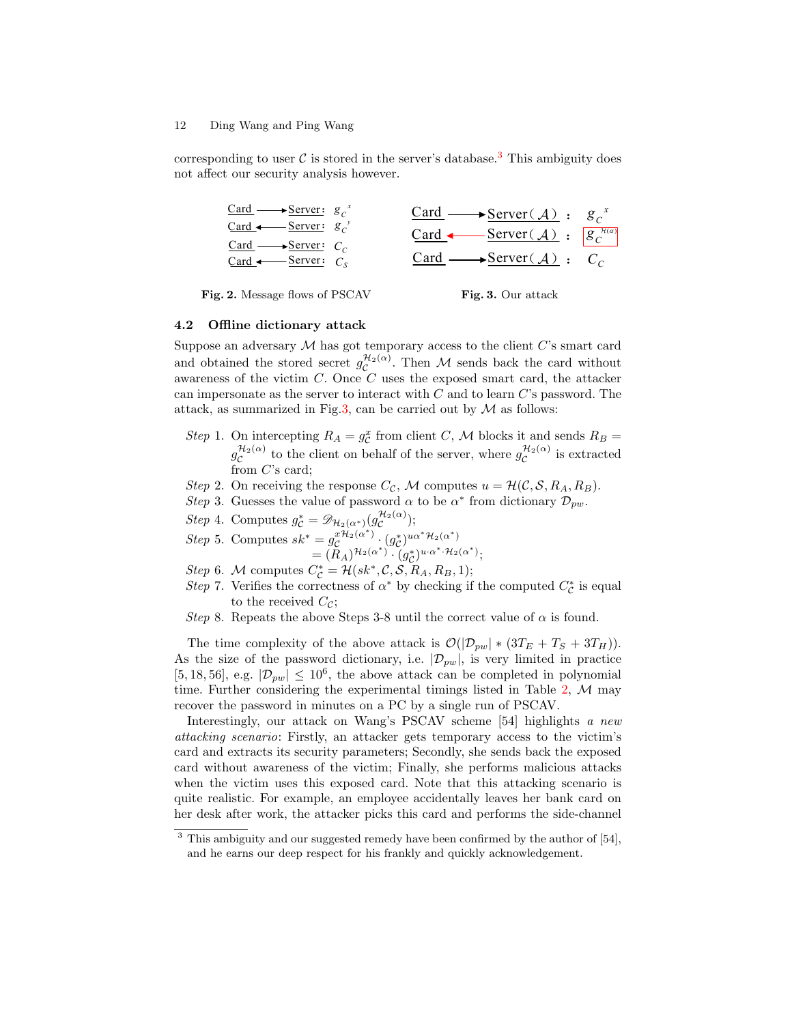corresponding to user  $\mathcal C$  is stored in the server's database.<sup>[3](#page-11-1)</sup> This ambiguity does not affect our security analysis however.



<span id="page-11-0"></span>**Fig. 2.** Message flows of PSCAV

#### <span id="page-11-2"></span>**Fig. 3.** Our attack

## **4.2 Offline dictionary attack**

Suppose an adversary  $M$  has got temporary access to the client  $C$ 's smart card and obtained the stored secret  $g_{\mathcal{C}}^{\mathcal{H}_2(\alpha)}$  $\mathcal{L}^{H_2(\alpha)}$ . Then *M* sends back the card without awareness of the victim *C*. Once *C* uses the exposed smart card, the attacker can impersonate as the server to interact with *C* and to learn *C*'s password. The attack, as summarized in Fig[.3](#page-11-2), can be carried out by  $M$  as follows:

- *Step* 1. On intercepting  $R_A = g_{\mathcal{C}}^x$  $\mathcal{L}^x$  from client *C*, *M* blocks it and sends  $R_B =$  $g_C^{\mathcal{H}_2(\alpha)}$  to the client on behalf of the server, where  $g_C^{\mathcal{H}_2(\alpha)}$ *C* from *C*'s card;  $\mathcal{C}^{H_2(\alpha)}$  is extracted
- *Step* 2. On receiving the response  $C_{\mathcal{C}}$ ,  $\mathcal{M}$  computes  $u = \mathcal{H}(\mathcal{C}, \mathcal{S}, R_A, R_B)$ .
- *Step* 3. Guesses the value of password  $\alpha$  to be  $\alpha^*$  from dictionary  $\mathcal{D}_{pw}$ .
- *Step* 4. Computes  $g_{\mathcal{C}}^* = \mathscr{D}_{\mathcal{H}_2(\alpha^*)} (g_{\mathcal{C}}^{\mathcal{H}_2(\alpha)})$  $\mathcal{C}^{H_2(\alpha)}$ );
- *Step* 5. Computes  $sk^* = g_c^{x\mathcal{H}_2(a^*)}$  $\mathcal{L}^{x\mathcal{H}_2(\alpha^*)}\cdot(g_{\mathcal{C}}^*)^{u\alpha^*\mathcal{H}_2(\alpha^*)}$
- $(g_{\mathcal{C}}^*)^{u \cdot \alpha^* \cdot \mathcal{H}_2(\alpha^*)};$
- *Step* 6. *M* computes  $C^*_{\mathcal{C}} = \mathcal{H}(sk^*, \mathcal{C}, \mathcal{S}, R_A, R_B, 1);$
- *Step* 7. Verifies the correctness of  $\alpha^*$  by checking if the computed  $C_c^*$  is equal to the received  $C_{\mathcal{C}}$ ;
- *Step* 8. Repeats the above Steps 3-8 until the correct value of  $\alpha$  is found.

The time complexity of the above attack is  $\mathcal{O}(|\mathcal{D}_{pw}| * (3T_E + T_S + 3T_H)).$ As the size of the password dictionary, i.e.  $|\mathcal{D}_{pw}|$ , is very limited in practice [[5,](#page-13-16) [18,](#page-13-17) [56](#page-15-17)], e.g.  $|\mathcal{D}_{pw}| \leq 10^6$ , the above attack can be completed in polynomial time. Further considering the experimental timings listed in Table [2](#page-9-1), *M* may recover the password in minutes on a PC by a single run of PSCAV.

Interestingly, our attack on Wang's PSCAV scheme [[54\]](#page-15-7) highlights *a new attacking scenario*: Firstly, an attacker gets temporary access to the victim's card and extracts its security parameters; Secondly, she sends back the exposed card without awareness of the victim; Finally, she performs malicious attacks when the victim uses this exposed card. Note that this attacking scenario is quite realistic. For example, an employee accidentally leaves her bank card on her desk after work, the attacker picks this card and performs the side-channel

<span id="page-11-1"></span><sup>&</sup>lt;sup>3</sup> This ambiguity and our suggested remedy have been confirmed by the author of [\[54](#page-15-7)], and he earns our deep respect for his frankly and quickly acknowledgement.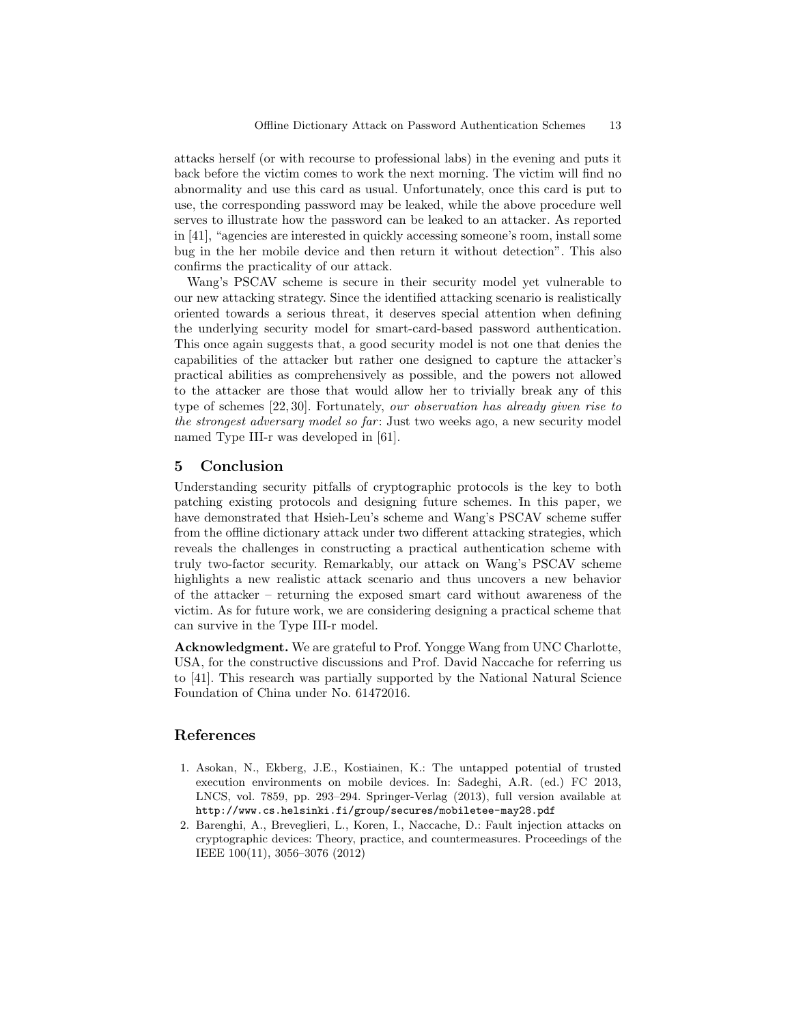attacks herself (or with recourse to professional labs) in the evening and puts it back before the victim comes to work the next morning. The victim will find no abnormality and use this card as usual. Unfortunately, once this card is put to use, the corresponding password may be leaked, while the above procedure well serves to illustrate how the password can be leaked to an attacker. As reported in [\[41](#page-14-18)], "agencies are interested in quickly accessing someone's room, install some bug in the her mobile device and then return it without detection". This also confirms the practicality of our attack.

Wang's PSCAV scheme is secure in their security model yet vulnerable to our new attacking strategy. Since the identified attacking scenario is realistically oriented towards a serious threat, it deserves special attention when defining the underlying security model for smart-card-based password authentication. This once again suggests that, a good security model is not one that denies the capabilities of the attacker but rather one designed to capture the attacker's practical abilities as comprehensively as possible, and the powers not allowed to the attacker are those that would allow her to trivially break any of this type of schemes [[22,](#page-13-19) [30](#page-14-19)]. Fortunately, *our observation has already given rise to the strongest adversary model so far* : Just two weeks ago, a new security model named Type III-r was developed in [\[61](#page-15-8)].

## <span id="page-12-0"></span>**5 Conclusion**

Understanding security pitfalls of cryptographic protocols is the key to both patching existing protocols and designing future schemes. In this paper, we have demonstrated that Hsieh-Leu's scheme and Wang's PSCAV scheme suffer from the offline dictionary attack under two different attacking strategies, which reveals the challenges in constructing a practical authentication scheme with truly two-factor security. Remarkably, our attack on Wang's PSCAV scheme highlights a new realistic attack scenario and thus uncovers a new behavior of the attacker – returning the exposed smart card without awareness of the victim. As for future work, we are considering designing a practical scheme that can survive in the Type III-r model.

**Acknowledgment.** We are grateful to Prof. Yongge Wang from UNC Charlotte, USA, for the constructive discussions and Prof. David Naccache for referring us to [\[41](#page-14-18)]. This research was partially supported by the National Natural Science Foundation of China under No. 61472016.

# **References**

- <span id="page-12-1"></span>1. Asokan, N., Ekberg, J.E., Kostiainen, K.: The untapped potential of trusted execution environments on mobile devices. In: Sadeghi, A.R. (ed.) FC 2013, LNCS, vol. 7859, pp. 293–294. Springer-Verlag (2013), full version available at <http://www.cs.helsinki.fi/group/secures/mobiletee-may28.pdf>
- <span id="page-12-2"></span>2. Barenghi, A., Breveglieri, L., Koren, I., Naccache, D.: Fault injection attacks on cryptographic devices: Theory, practice, and countermeasures. Proceedings of the IEEE 100(11), 3056–3076 (2012)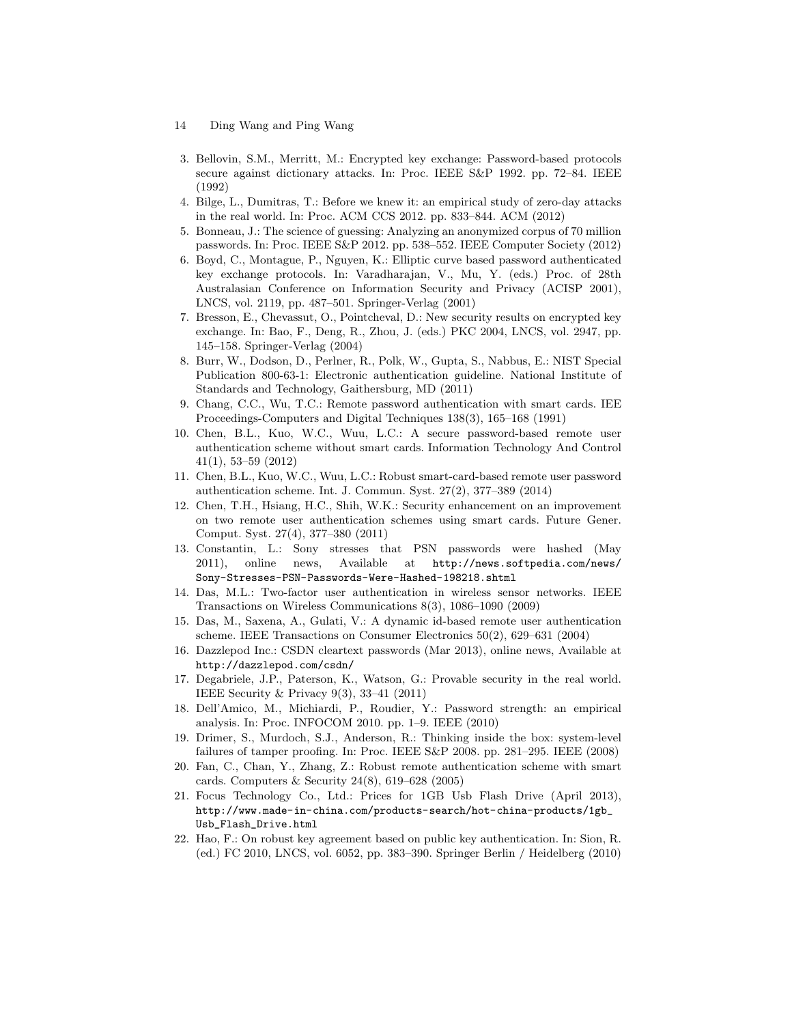- 14 Ding Wang and Ping Wang
- <span id="page-13-0"></span>3. Bellovin, S.M., Merritt, M.: Encrypted key exchange: Password-based protocols secure against dictionary attacks. In: Proc. IEEE S&P 1992. pp. 72–84. IEEE (1992)
- <span id="page-13-4"></span>4. Bilge, L., Dumitras, T.: Before we knew it: an empirical study of zero-day attacks in the real world. In: Proc. ACM CCS 2012. pp. 833–844. ACM (2012)
- <span id="page-13-16"></span>5. Bonneau, J.: The science of guessing: Analyzing an anonymized corpus of 70 million passwords. In: Proc. IEEE S&P 2012. pp. 538–552. IEEE Computer Society (2012)
- <span id="page-13-1"></span>6. Boyd, C., Montague, P., Nguyen, K.: Elliptic curve based password authenticated key exchange protocols. In: Varadharajan, V., Mu, Y. (eds.) Proc. of 28th Australasian Conference on Information Security and Privacy (ACISP 2001), LNCS, vol. 2119, pp. 487–501. Springer-Verlag (2001)
- <span id="page-13-2"></span>7. Bresson, E., Chevassut, O., Pointcheval, D.: New security results on encrypted key exchange. In: Bao, F., Deng, R., Zhou, J. (eds.) PKC 2004, LNCS, vol. 2947, pp. 145–158. Springer-Verlag (2004)
- <span id="page-13-3"></span>8. Burr, W., Dodson, D., Perlner, R., Polk, W., Gupta, S., Nabbus, E.: NIST Special Publication 800-63-1: Electronic authentication guideline. National Institute of Standards and Technology, Gaithersburg, MD (2011)
- <span id="page-13-7"></span>9. Chang, C.C., Wu, T.C.: Remote password authentication with smart cards. IEE Proceedings-Computers and Digital Techniques 138(3), 165–168 (1991)
- <span id="page-13-15"></span>10. Chen, B.L., Kuo, W.C., Wuu, L.C.: A secure password-based remote user authentication scheme without smart cards. Information Technology And Control 41(1), 53–59 (2012)
- <span id="page-13-14"></span>11. Chen, B.L., Kuo, W.C., Wuu, L.C.: Robust smart-card-based remote user password authentication scheme. Int. J. Commun. Syst. 27(2), 377–389 (2014)
- <span id="page-13-18"></span>12. Chen, T.H., Hsiang, H.C., Shih, W.K.: Security enhancement on an improvement on two remote user authentication schemes using smart cards. Future Gener. Comput. Syst. 27(4), 377–380 (2011)
- <span id="page-13-5"></span>13. Constantin, L.: Sony stresses that PSN passwords were hashed (May 2011), online news, Available at [http://news.softpedia.com/news/](http://news.softpedia.com/news/Sony-Stresses-PSN-Passwords-Were-Hashed-198218.shtml) [Sony-Stresses-PSN-Passwords-Were-Hashed-198218.shtml](http://news.softpedia.com/news/Sony-Stresses-PSN-Passwords-Were-Hashed-198218.shtml)
- <span id="page-13-11"></span>14. Das, M.L.: Two-factor user authentication in wireless sensor networks. IEEE Transactions on Wireless Communications 8(3), 1086–1090 (2009)
- <span id="page-13-8"></span>15. Das, M., Saxena, A., Gulati, V.: A dynamic id-based remote user authentication scheme. IEEE Transactions on Consumer Electronics 50(2), 629–631 (2004)
- <span id="page-13-6"></span>16. Dazzlepod Inc.: CSDN cleartext passwords (Mar 2013), online news, Available at <http://dazzlepod.com/csdn/>
- <span id="page-13-10"></span>17. Degabriele, J.P., Paterson, K., Watson, G.: Provable security in the real world. IEEE Security & Privacy 9(3), 33–41 (2011)
- <span id="page-13-17"></span>18. Dell'Amico, M., Michiardi, P., Roudier, Y.: Password strength: an empirical analysis. In: Proc. INFOCOM 2010. pp. 1–9. IEEE (2010)
- <span id="page-13-13"></span>19. Drimer, S., Murdoch, S.J., Anderson, R.: Thinking inside the box: system-level failures of tamper proofing. In: Proc. IEEE S&P 2008. pp. 281–295. IEEE (2008)
- <span id="page-13-9"></span>20. Fan, C., Chan, Y., Zhang, Z.: Robust remote authentication scheme with smart cards. Computers & Security 24(8), 619–628 (2005)
- <span id="page-13-12"></span>21. Focus Technology Co., Ltd.: Prices for 1GB Usb Flash Drive (April 2013), [http://www.made-in-china.com/products-search/hot-china-products/1gb\\_](http://www.made-in-china.com/products-search/hot-china-products/1gb_Usb_Flash_Drive.html) [Usb\\_Flash\\_Drive.html](http://www.made-in-china.com/products-search/hot-china-products/1gb_Usb_Flash_Drive.html)
- <span id="page-13-19"></span>22. Hao, F.: On robust key agreement based on public key authentication. In: Sion, R. (ed.) FC 2010, LNCS, vol. 6052, pp. 383–390. Springer Berlin / Heidelberg (2010)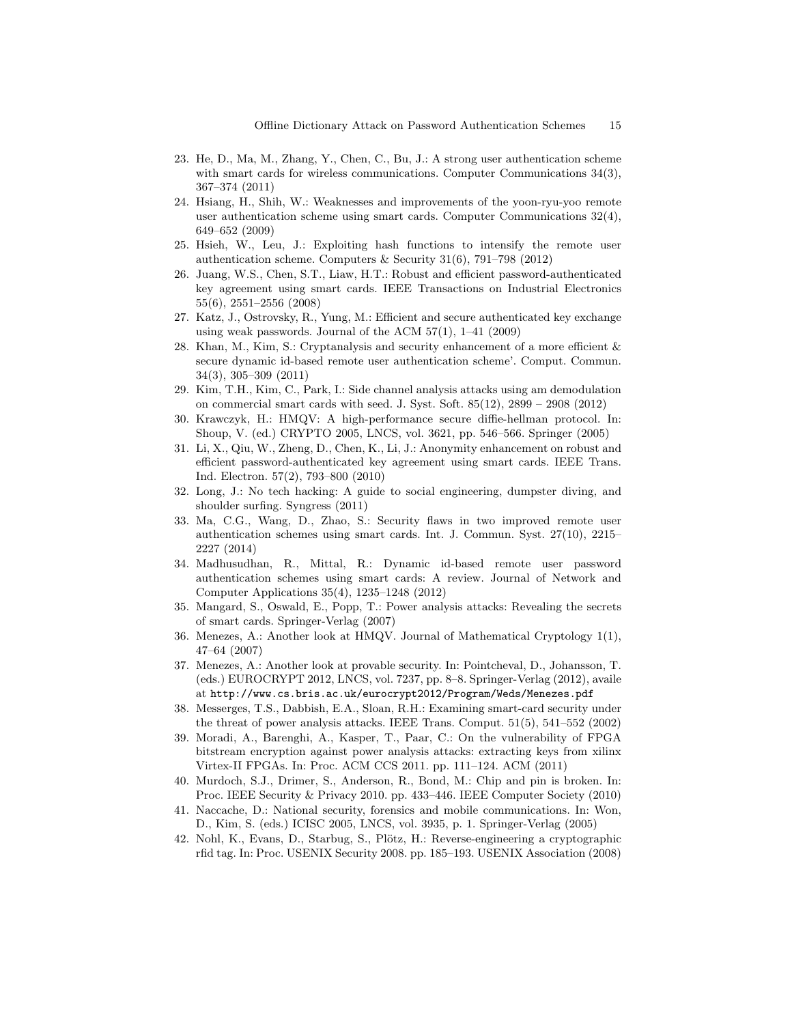- <span id="page-14-1"></span>23. He, D., Ma, M., Zhang, Y., Chen, C., Bu, J.: A strong user authentication scheme with smart cards for wireless communications. Computer Communications 34(3), 367–374 (2011)
- <span id="page-14-17"></span>24. Hsiang, H., Shih, W.: Weaknesses and improvements of the yoon-ryu-yoo remote user authentication scheme using smart cards. Computer Communications  $32(4)$ , 649–652 (2009)
- <span id="page-14-15"></span>25. Hsieh, W., Leu, J.: Exploiting hash functions to intensify the remote user authentication scheme. Computers & Security 31(6), 791–798 (2012)
- <span id="page-14-2"></span>26. Juang, W.S., Chen, S.T., Liaw, H.T.: Robust and efficient password-authenticated key agreement using smart cards. IEEE Transactions on Industrial Electronics 55(6), 2551–2556 (2008)
- <span id="page-14-0"></span>27. Katz, J., Ostrovsky, R., Yung, M.: Efficient and secure authenticated key exchange using weak passwords. Journal of the ACM 57(1), 1–41 (2009)
- <span id="page-14-3"></span>28. Khan, M., Kim, S.: Cryptanalysis and security enhancement of a more efficient & secure dynamic id-based remote user authentication scheme'. Comput. Commun. 34(3), 305–309 (2011)
- <span id="page-14-10"></span>29. Kim, T.H., Kim, C., Park, I.: Side channel analysis attacks using am demodulation on commercial smart cards with seed. J. Syst. Soft. 85(12), 2899 – 2908 (2012)
- <span id="page-14-19"></span>30. Krawczyk, H.: HMQV: A high-performance secure diffie-hellman protocol. In: Shoup, V. (ed.) CRYPTO 2005, LNCS, vol. 3621, pp. 546–566. Springer (2005)
- <span id="page-14-4"></span>31. Li, X., Qiu, W., Zheng, D., Chen, K., Li, J.: Anonymity enhancement on robust and efficient password-authenticated key agreement using smart cards. IEEE Trans. Ind. Electron. 57(2), 793–800 (2010)
- <span id="page-14-16"></span>32. Long, J.: No tech hacking: A guide to social engineering, dumpster diving, and shoulder surfing. Syngress (2011)
- <span id="page-14-6"></span>33. Ma, C.G., Wang, D., Zhao, S.: Security flaws in two improved remote user authentication schemes using smart cards. Int. J. Commun. Syst. 27(10), 2215– 2227 (2014)
- <span id="page-14-5"></span>34. Madhusudhan, R., Mittal, R.: Dynamic id-based remote user password authentication schemes using smart cards: A review. Journal of Network and Computer Applications 35(4), 1235–1248 (2012)
- <span id="page-14-13"></span>35. Mangard, S., Oswald, E., Popp, T.: Power analysis attacks: Revealing the secrets of smart cards. Springer-Verlag (2007)
- <span id="page-14-8"></span>36. Menezes, A.: Another look at HMQV. Journal of Mathematical Cryptology 1(1), 47–64 (2007)
- <span id="page-14-9"></span>37. Menezes, A.: Another look at provable security. In: Pointcheval, D., Johansson, T. (eds.) EUROCRYPT 2012, LNCS, vol. 7237, pp. 8–8. Springer-Verlag (2012), availe at <http://www.cs.bris.ac.uk/eurocrypt2012/Program/Weds/Menezes.pdf>
- <span id="page-14-11"></span>38. Messerges, T.S., Dabbish, E.A., Sloan, R.H.: Examining smart-card security under the threat of power analysis attacks. IEEE Trans. Comput. 51(5), 541–552 (2002)
- <span id="page-14-12"></span>39. Moradi, A., Barenghi, A., Kasper, T., Paar, C.: On the vulnerability of FPGA bitstream encryption against power analysis attacks: extracting keys from xilinx Virtex-II FPGAs. In: Proc. ACM CCS 2011. pp. 111–124. ACM (2011)
- <span id="page-14-7"></span>40. Murdoch, S.J., Drimer, S., Anderson, R., Bond, M.: Chip and pin is broken. In: Proc. IEEE Security & Privacy 2010. pp. 433–446. IEEE Computer Society (2010)
- <span id="page-14-18"></span>41. Naccache, D.: National security, forensics and mobile communications. In: Won, D., Kim, S. (eds.) ICISC 2005, LNCS, vol. 3935, p. 1. Springer-Verlag (2005)
- <span id="page-14-14"></span>42. Nohl, K., Evans, D., Starbug, S., Plötz, H.: Reverse-engineering a cryptographic rfid tag. In: Proc. USENIX Security 2008. pp. 185–193. USENIX Association (2008)